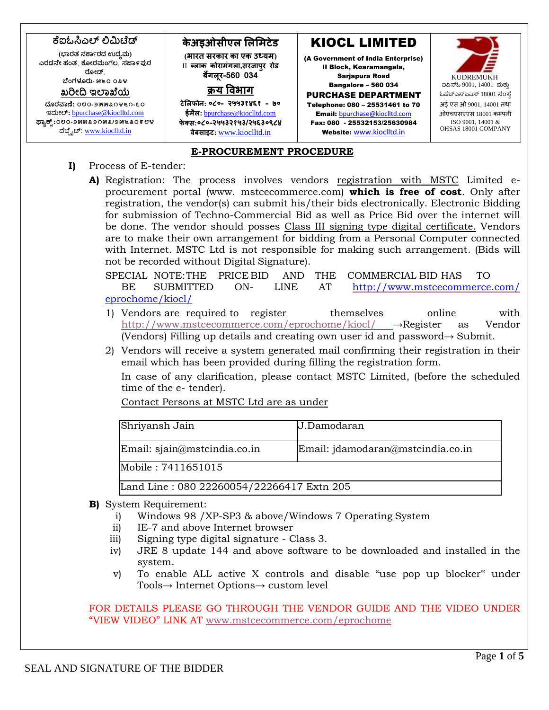

procurement portal [\(www. m](http://www/)stcecommerce.com) **which is free of cost**. Only after registration, the vendor(s) can submit his/their bids electronically. Electronic Bidding for submission of Techno-Commercial Bid as well as Price Bid over the internet will be done. The vendor should posses Class III signing type digital certificate. Vendors are to make their own arrangement for bidding from a Personal Computer connected with Internet. MSTC Ltd is not responsible for making such arrangement. (Bids will not be recorded without Digital Signature).

SPECIAL NOTE:THE PRICE BID AND THE COMMERCIAL BID HAS TO BE SUBMITTED ON- LINE AT [http://www.mstcecommerce.com/](http://www.mstcecommerce.com/%20eprochome/kiocl/)  [eprochome/kiocl/](http://www.mstcecommerce.com/%20eprochome/kiocl/)

- 1) Vendors are required to register themselves online with [http://www.mstcecommerce.com/eprochome/kiocl/](http://www.mstcecommerce.com/eprochome/nmdc/) →Register as Vendor (Vendors) Filling up details and creating own user id and password→ Submit.
- 2) Vendors will receive a system generated mail confirming their registration in their email which has been provided during filling the registration form.

In case of any clarification, please contact MSTC Limited, (before the scheduled time of the e- tender).

Contact Persons at MSTC Ltd are as under

| Shriyansh Jain                            | J.Damodaran                       |
|-------------------------------------------|-----------------------------------|
| Email: $\sin(\omega)$ mstcindia.co.in     | Email: jdamodaran@mstcindia.co.in |
| Mobile: 7411651015                        |                                   |
| Land Line: 080 22260054/22266417 Extn 205 |                                   |

- **B)** System Requirement:
	- i) Windows 98 /XP-SP3 & above/Windows 7 Operating System
	- ii) IE-7 and above Internet browser
	- iii) Signing type digital signature Class 3.
	- iv) JRE 8 update 144 and above software to be downloaded and installed in the system.
	- v) To enable ALL active X controls and disable "use pop up blocker" under Tools→ Internet Options→ custom level

FOR DETAILS PLEASE GO THROUGH THE VENDOR GUIDE AND THE VIDEO UNDER "VIEW VIDEO" LINK AT [www.mstcecommerce.com/eprochome](http://www.mstcecommerce.com/eprochome)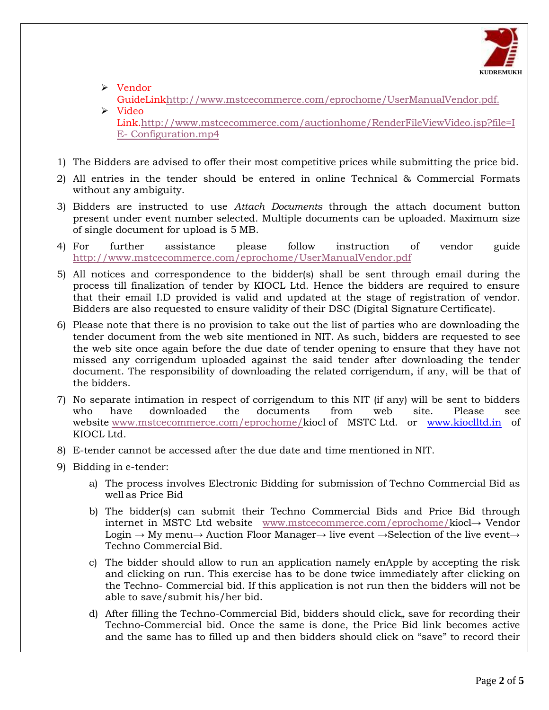

➢ Vendor

GuideLin[khttp://www.mstcecommerce.com/eprochome/UserManualVendor.pdf.](http://www.mstcecommerce.com/eprochome/UserManualVendor.pdf) ➢ Video

Lin[k.http://www.mstcecommerce.com/auctionhome/RenderFileViewVideo.jsp?file=I](http://www.mstcecommerce.com/auctionhome/RenderFileViewVideo.jsp?file=IE-Configuration.mp4) [E-](http://www.mstcecommerce.com/auctionhome/RenderFileViewVideo.jsp?file=IE-Configuration.mp4) Configuration.mp4

- 1) The Bidders are advised to offer their most competitive prices while submitting the price bid.
- 2) All entries in the tender should be entered in online Technical & Commercial Formats without any ambiguity.
- 3) Bidders are instructed to use *Attach Documents* through the attach document button present under event number selected. Multiple documents can be uploaded. Maximum size of single document for upload is 5 MB.
- 4) For further assistance please follow instruction of vendor guide <http://www.mstcecommerce.com/eprochome/UserManualVendor.pdf>
- 5) All notices and correspondence to the bidder(s) shall be sent through email during the process till finalization of tender by KIOCL Ltd. Hence the bidders are required to ensure that their email I.D provided is valid and updated at the stage of registration of vendor. Bidders are also requested to ensure validity of their DSC (Digital Signature Certificate).
- 6) Please note that there is no provision to take out the list of parties who are downloading the tender document from the web site mentioned in NIT. As such, bidders are requested to see the web site once again before the due date of tender opening to ensure that they have not missed any corrigendum uploaded against the said tender after downloading the tender document. The responsibility of downloading the related corrigendum, if any, will be that of the bidders.
- 7) No separate intimation in respect of corrigendum to this NIT (if any) will be sent to bidders who have downloaded the documents from web site. Please see website [www.mstcecommerce.com/eprochome/k](http://www.mstcecommerce.com/eprochome/)iocl of MSTC Ltd. o[r](http://www.nmdc.co.in/) [www.kioclltd.in](http://www.kioclltd.in/) of KIOCL Ltd.
- 8) E-tender cannot be accessed after the due date and time mentioned in NIT.
- 9) Bidding in e-tender:
	- a) The process involves Electronic Bidding for submission of Techno Commercial Bid as well as Price Bid
	- b) The bidder(s) can submit their Techno Commercial Bids and Price Bid through internet in MSTC Ltd website [www.mstcecommerce.com/eprochome/k](http://www.mstcecommerce.com/eprochome/)iocl→ Vendor Login → My menu→ Auction Floor Manager→ live event →Selection of the live event→ Techno Commercial Bid.
	- c) The bidder should allow to run an application namely enApple by accepting the risk and clicking on run. This exercise has to be done twice immediately after clicking on the Techno- Commercial bid. If this application is not run then the bidders will not be able to save/submit his/her bid.
	- d) After filling the Techno-Commercial Bid, bidders should click, save for recording their Techno-Commercial bid. Once the same is done, the Price Bid link becomes active and the same has to filled up and then bidders should click on "save" to record their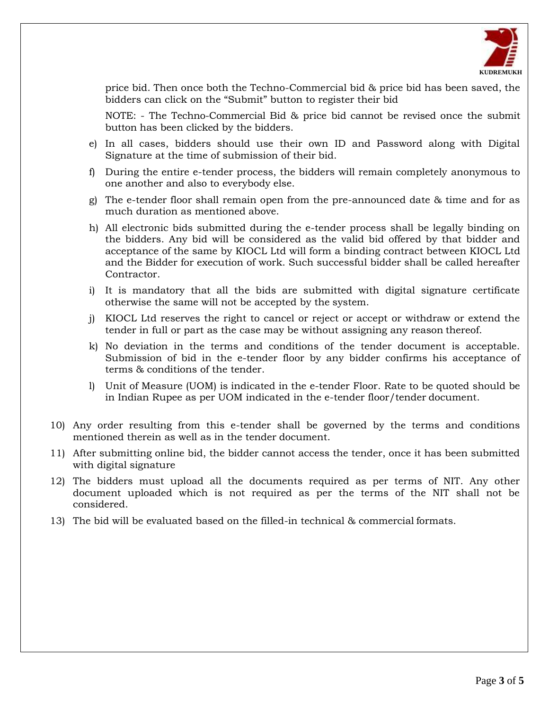

price bid. Then once both the Techno-Commercial bid & price bid has been saved, the bidders can click on the "Submit" button to register their bid

NOTE: - The Techno-Commercial Bid & price bid cannot be revised once the submit button has been clicked by the bidders.

- e) In all cases, bidders should use their own ID and Password along with Digital Signature at the time of submission of their bid.
- f) During the entire e-tender process, the bidders will remain completely anonymous to one another and also to everybody else.
- g) The e-tender floor shall remain open from the pre-announced date & time and for as much duration as mentioned above.
- h) All electronic bids submitted during the e-tender process shall be legally binding on the bidders. Any bid will be considered as the valid bid offered by that bidder and acceptance of the same by KIOCL Ltd will form a binding contract between KIOCL Ltd and the Bidder for execution of work. Such successful bidder shall be called hereafter Contractor.
- i) It is mandatory that all the bids are submitted with digital signature certificate otherwise the same will not be accepted by the system.
- j) KIOCL Ltd reserves the right to cancel or reject or accept or withdraw or extend the tender in full or part as the case may be without assigning any reason thereof.
- k) No deviation in the terms and conditions of the tender document is acceptable. Submission of bid in the e-tender floor by any bidder confirms his acceptance of terms & conditions of the tender.
- l) Unit of Measure (UOM) is indicated in the e-tender Floor. Rate to be quoted should be in Indian Rupee as per UOM indicated in the e-tender floor/tender document.
- 10) Any order resulting from this e-tender shall be governed by the terms and conditions mentioned therein as well as in the tender document.
- 11) After submitting online bid, the bidder cannot access the tender, once it has been submitted with digital signature
- 12) The bidders must upload all the documents required as per terms of NIT. Any other document uploaded which is not required as per the terms of the NIT shall not be considered.
- 13) The bid will be evaluated based on the filled-in technical & commercial formats.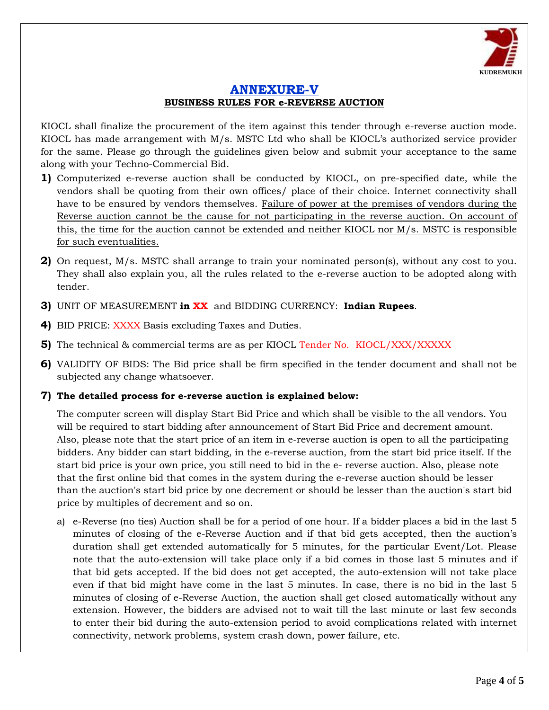

## **ANNEXURE-V BUSINESS RULES FOR e-REVERSE AUCTION**

KIOCL shall finalize the procurement of the item against this tender through e-reverse auction mode. KIOCL has made arrangement with M/s. MSTC Ltd who shall be KIOCL's authorized service provider for the same. Please go through the guidelines given below and submit your acceptance to the same along with your Techno-Commercial Bid.

- **1)** Computerized e-reverse auction shall be conducted by KIOCL, on pre-specified date, while the vendors shall be quoting from their own offices/ place of their choice. Internet connectivity shall have to be ensured by vendors themselves. Failure of power at the premises of vendors during the Reverse auction cannot be the cause for not participating in the reverse auction. On account of this, the time for the auction cannot be extended and neither KIOCL nor M/s. MSTC is responsible for such eventualities.
- **2)** On request, M/s. MSTC shall arrange to train your nominated person(s), without any cost to you. They shall also explain you, all the rules related to the e-reverse auction to be adopted along with tender.
- **3)** UNIT OF MEASUREMENT **in XX** and BIDDING CURRENCY: **Indian Rupees**.
- **4)** BID PRICE: XXXX Basis excluding Taxes and Duties.
- **5)** The technical & commercial terms are as per KIOCL Tender No. KIOCL/XXX/XXXXX
- **6)** VALIDITY OF BIDS: The Bid price shall be firm specified in the tender document and shall not be subjected any change whatsoever.
- **7) The detailed process for e-reverse auction is explained below:**

The computer screen will display Start Bid Price and which shall be visible to the all vendors. You will be required to start bidding after announcement of Start Bid Price and decrement amount. Also, please note that the start price of an item in e-reverse auction is open to all the participating bidders. Any bidder can start bidding, in the e-reverse auction, from the start bid price itself. If the start bid price is your own price, you still need to bid in the e- reverse auction. Also, please note that the first online bid that comes in the system during the e-reverse auction should be lesser than the auction's start bid price by one decrement or should be lesser than the auction's start bid price by multiples of decrement and so on.

a) e-Reverse (no ties) Auction shall be for a period of one hour. If a bidder places a bid in the last 5 minutes of closing of the e-Reverse Auction and if that bid gets accepted, then the auction's duration shall get extended automatically for 5 minutes, for the particular Event/Lot. Please note that the auto-extension will take place only if a bid comes in those last 5 minutes and if that bid gets accepted. If the bid does not get accepted, the auto-extension will not take place even if that bid might have come in the last 5 minutes. In case, there is no bid in the last 5 minutes of closing of e-Reverse Auction, the auction shall get closed automatically without any extension. However, the bidders are advised not to wait till the last minute or last few seconds to enter their bid during the auto-extension period to avoid complications related with internet connectivity, network problems, system crash down, power failure, etc.